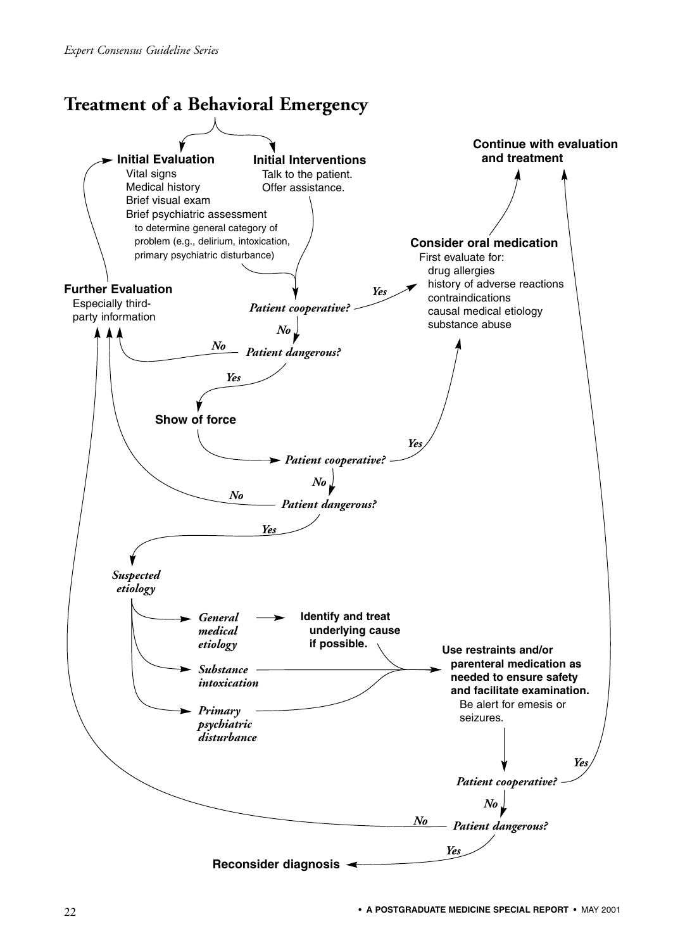